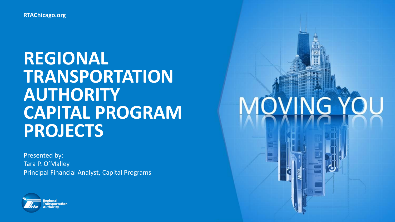**REGIONAL TRANSPORTATION AUTHORITY CAPITAL PROGRAM PROJECTS**

Presented by: Tara P. O'Malley Principal Financial Analyst, Capital Programs



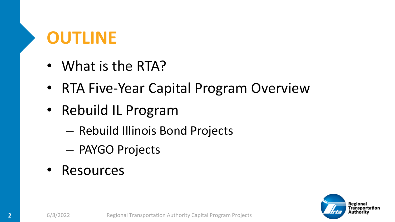# **OUTLINE**

- What is the RTA?
- RTA Five-Year Capital Program Overview
- Rebuild IL Program
	- Rebuild Illinois Bond Projects
	- PAYGO Projects
- Resources

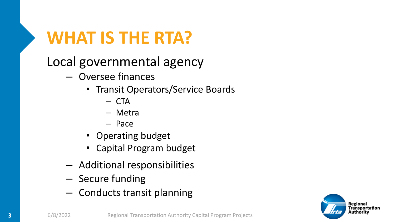## **WHAT IS THE RTA?**

Local governmental agency

- Oversee finances
	- Transit Operators/Service Boards
		- CTA
		- Metra
		- Pace
	- Operating budget
	- Capital Program budget
- Additional responsibilities
- Secure funding
- Conducts transit planning

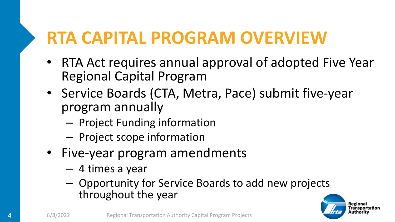## **RTA CAPITAL PROGRAM OVERVIEW**

- RTA Act requires annual approval of adopted Five Year Regional Capital Program
- Service Boards (CTA, Metra, Pace) submit five-year program annually
	- Project Funding information
	- Project scope information
- Five-year program amendments
	- 4 times a year
	- Opportunity for Service Boards to add new projects throughout the year

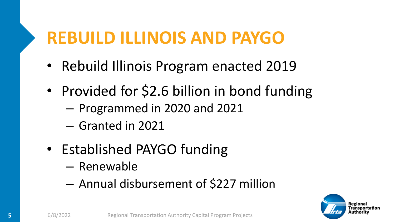## **REBUILD ILLINOIS AND PAYGO**

- Rebuild Illinois Program enacted 2019
- Provided for \$2.6 billion in bond funding
	- Programmed in 2020 and 2021
	- Granted in 2021
- Established PAYGO funding
	- Renewable
	- Annual disbursement of \$227 million

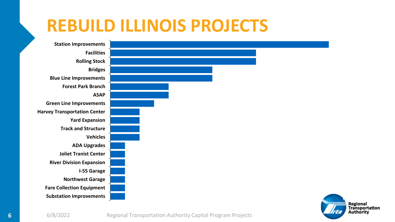#### **REBUILD ILLINOIS PROJECTS**

**Substation Improvements Fare Collection Equipment Northwest Garage I-55 Garage River Division Expansion Joliet Tranist Center ADA Upgrades Vehicles Track and Structure Yard Expansion Harvey Transportation Center Green Line Improvements ASAP Forest Park Branch Blue Line Improvements Bridges Rolling Stock Facilities Station Improvements**

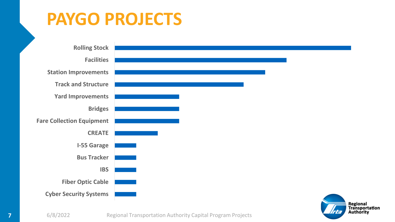#### **PAYGO PROJECTS**



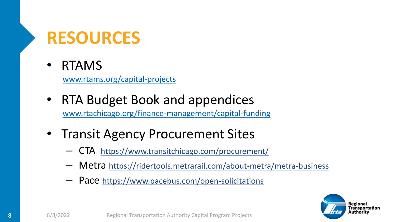## **RESOURCES**

#### • RTAMS

[www.rtams.org/capital-projects](http://www.rtams.org/capital-projects)

- RTA Budget Book and appendices [www.rtachicago.org/finance-management/capital-funding](http://www.rtachicago.org/finance-management/capital-funding)
- Transit Agency Procurement Sites
	- CTA <https://www.transitchicago.com/procurement/>
	- Metra <https://ridertools.metrarail.com/about-metra/metra-business>
	- Pace <https://www.pacebus.com/open-solicitations>

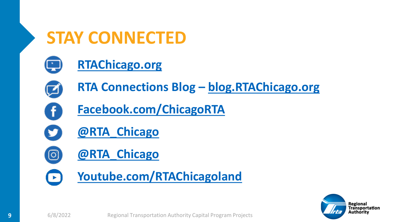#### **STAY CONNECTED**



#### **[RTAChicago.org](https://www.rtachicago.org/)**



f

ිම

 $\left( \begin{array}{c} \blacktriangleright \end{array} \right)$ 

**RTA Connections Blog – [blog.RTAChicago.org](https://blog.rtachicago.org/)**

- **[Facebook.com/ChicagoRTA](https://www.facebook.com/ChicagoRTA?v=wall)**
- **[@RTA\\_Chicago](https://twitter.com/RTA_Chicago)**
- **[@RTA\\_Chicago](https://www.instagram.com/rta_chicago/?hl=en)**
- **[Youtube.com/RTAChicagoland](https://www.youtube.com/user/RTAChicagoland)**